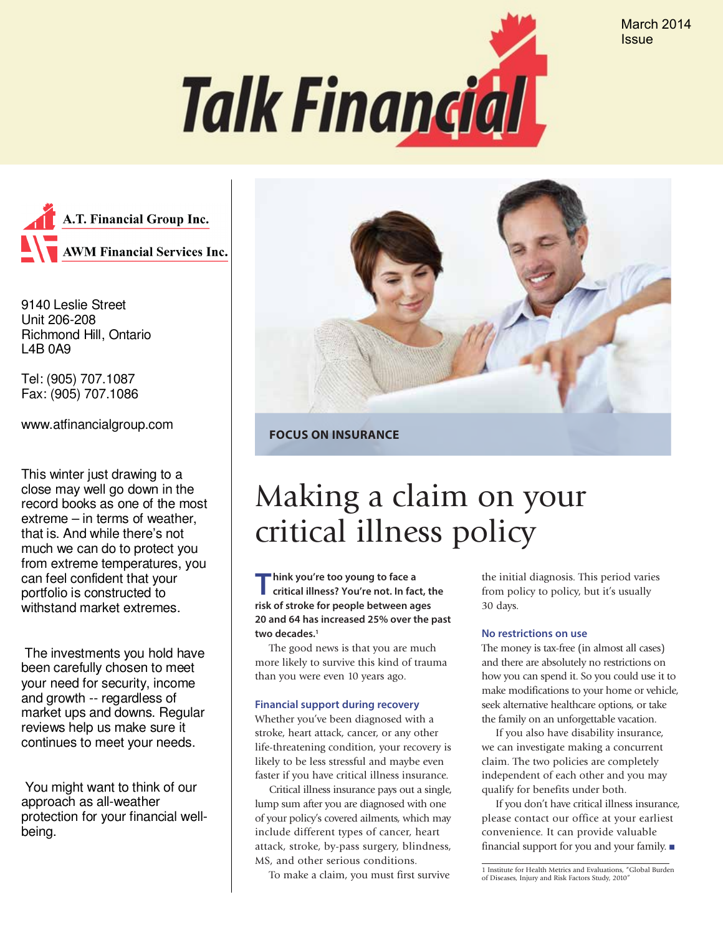March 2014 **Issue** 





9140 Leslie Street Unit 206-208 Richmond Hill, Ontario L4B 0A9

Tel: (905) 707.1087

Fax: (905) 707.1086 www.atfinancialgroup.com

This winter just drawing to a close may well go down in the record books as one of the most extreme – in terms of weather, that is. And while there's not much we can do to protect you from extreme temperatures, you can feel confident that your portfolio is constructed to withstand market extremes.

 The investments you hold have been carefully chosen to meet your need for security, income and growth -- regardless of market ups and downs. Regular reviews help us make sure it continues to meet your needs.

 You might want to think of our approach as all-weather protection for your financial wellbeing.



**FOCUS ON INSURANCE**

# Making a claim on your critical illness policy

**Think you're too young to face a critical illness? You're not. In fact, the risk of stroke for people between ages 20 and 64 has increased 25% over the past two decades. 1**

The good news is that you are much more likely to survive this kind of trauma than you were even 10 years ago.

#### **Financial support during recovery**

Whether you've been diagnosed with a stroke, heart attack, cancer, or any other life-threatening condition, your recovery is likely to be less stressful and maybe even faster if you have critical illness insurance.

Critical illness insurance pays out a single, lump sum after you are diagnosed with one of your policy's covered ailments, which may include different types of cancer, heart attack, stroke, by-pass surgery, blindness, MS, and other serious conditions.

To make a claim, you must first survive

the initial diagnosis. This period varies from policy to policy, but it's usually 30 days.

#### **No restrictions on use**

The money is tax-free (in almost all cases) and there are absolutely no restrictions on how you can spend it. So you could use it to make modifications to your home or vehicle, seek alternative healthcare options, or take the family on an unforgettable vacation.

If you also have disability insurance, we can investigate making a concurrent claim. The two policies are completely independent of each other and you may qualify for benefits under both.

If you don't have critical illness insurance, please contact our office at your earliest convenience. It can provide valuable financial support for you and your family. n

<sup>1</sup> Institute for Health Metrics and Evaluations, "Global Burden of Diseases, Injury and Risk Factors Study, 2010"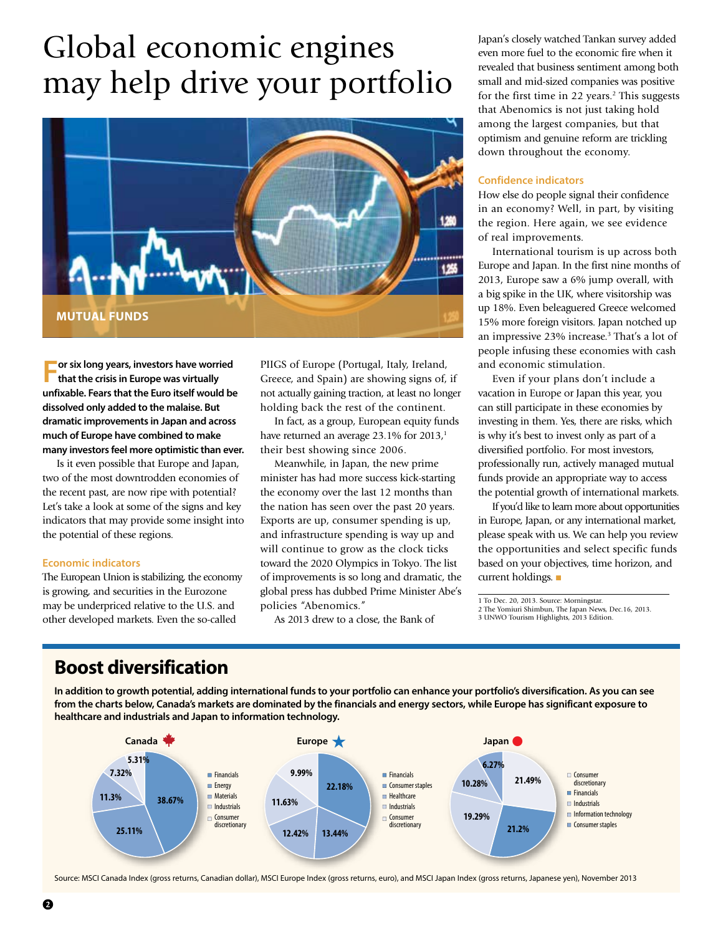# Global economic engines may help drive your portfolio



**For six long years, investors have worried that the crisis in Europe was virtually unfixable. Fears that the Euro itself would be dissolved only added to the malaise. But dramatic improvements in Japan and across much of Europe have combined to make many investors feel more optimistic than ever.**

Is it even possible that Europe and Japan, two of the most downtrodden economies of the recent past, are now ripe with potential? Let's take a look at some of the signs and key indicators that may provide some insight into the potential of these regions.

#### **Economic indicators**

The European Union is stabilizing, the economy is growing, and securities in the Eurozone may be underpriced relative to the U.S. and other developed markets. Even the so-called

PIIGS of Europe (Portugal, Italy, Ireland, Greece, and Spain) are showing signs of, if not actually gaining traction, at least no longer holding back the rest of the continent.

In fact, as a group, European equity funds have returned an average  $23.1\%$  for  $2013<sub>i</sub>$ <sup>1</sup> their best showing since 2006.

Meanwhile, in Japan, the new prime minister has had more success kick-starting the economy over the last 12 months than the nation has seen over the past 20 years. Exports are up, consumer spending is up, and infrastructure spending is way up and will continue to grow as the clock ticks toward the 2020 Olympics in Tokyo. The list of improvements is so long and dramatic, the global press has dubbed Prime Minister Abe's policies "Abenomics."

As 2013 drew to a close, the Bank of

Japan's closely watched Tankan survey added even more fuel to the economic fire when it revealed that business sentiment among both small and mid-sized companies was positive for the first time in 22 years.<sup>2</sup> This suggests that Abenomics is not just taking hold among the largest companies, but that optimism and genuine reform are trickling down throughout the economy.

#### **Confidence indicators**

How else do people signal their confidence in an economy? Well, in part, by visiting the region. Here again, we see evidence of real improvements.

International tourism is up across both Europe and Japan. In the first nine months of 2013, Europe saw a 6% jump overall, with a big spike in the UK, where visitorship was up 18%. Even beleaguered Greece welcomed 15% more foreign visitors. Japan notched up an impressive 23% increase.3 That's a lot of people infusing these economies with cash and economic stimulation.

Even if your plans don't include a vacation in Europe or Japan this year, you can still participate in these economies by investing in them. Yes, there are risks, which is why it's best to invest only as part of a diversified portfolio. For most investors, professionally run, actively managed mutual funds provide an appropriate way to access the potential growth of international markets.

If you'd like to learn more about opportunities in Europe, Japan, or any international market, please speak with us. We can help you review the opportunities and select specific funds based on your objectives, time horizon, and current holdings.  $\blacksquare$ 

1 To Dec. 20, 2013. Source: Morningstar. 2 The Yomiuri Shimbun, The Japan News, Dec.16, 2013. 3 UNWO Tourism Highlights, 2013 Edition.

### **Boost diversification**

**In addition to growth potential, adding international funds to your portfolio can enhance your portfolio's diversification. As you can see from the charts below, Canada's markets are dominated by the financials and energy sectors, while Europe has significant exposure to healthcare and industrials and Japan to information technology.**



Source: MSCI Canada Index (gross returns, Canadian dollar), MSCI Europe Index (gross returns, euro), and MSCI Japan Index (gross returns, Japanese yen), November 2013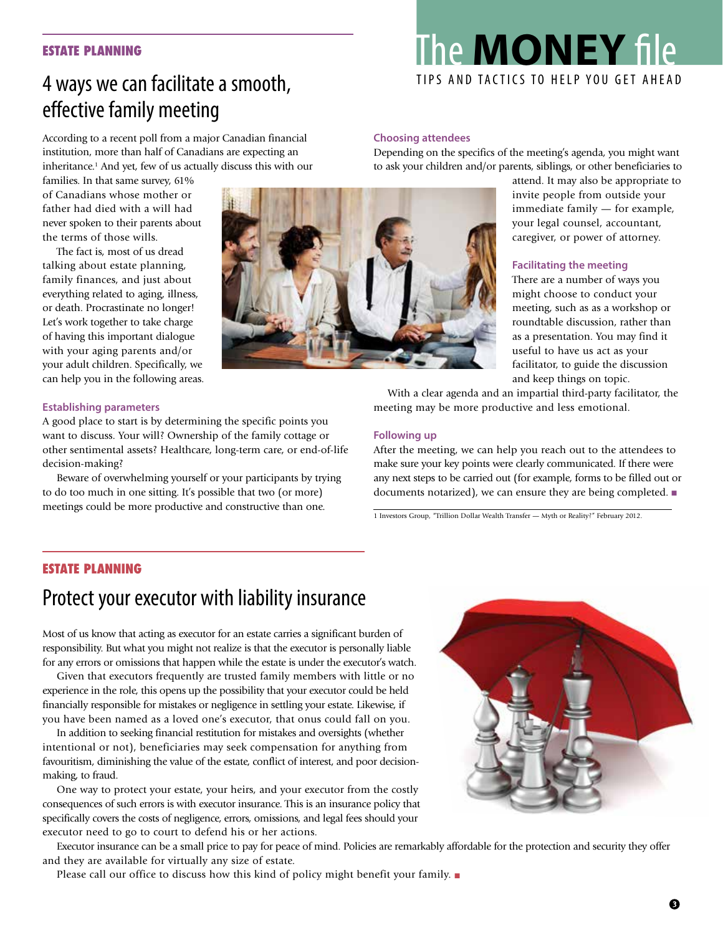#### **ESTATE PLANNING**

## 4 ways we can facilitate a smooth, effective family meeting

According to a recent poll from a major Canadian financial institution, more than half of Canadians are expecting an inheritance.1 And yet, few of us actually discuss this with our

families. In that same survey, 61% of Canadians whose mother or father had died with a will had never spoken to their parents about the terms of those wills.

The fact is, most of us dread talking about estate planning, family finances, and just about everything related to aging, illness, or death. Procrastinate no longer! Let's work together to take charge of having this important dialogue with your aging parents and/or your adult children. Specifically, we can help you in the following areas.

#### **Establishing parameters**

A good place to start is by determining the specific points you want to discuss. Your will? Ownership of the family cottage or other sentimental assets? Healthcare, long-term care, or end-of-life decision-making?

Beware of overwhelming yourself or your participants by trying to do too much in one sitting. It's possible that two (or more) meetings could be more productive and constructive than one.

#### **Choosing attendees**

Depending on the specifics of the meeting's agenda, you might want to ask your children and/or parents, siblings, or other beneficiaries to

> attend. It may also be appropriate to invite people from outside your immediate family — for example, your legal counsel, accountant, caregiver, or power of attorney.

#### **Facilitating the meeting**

There are a number of ways you might choose to conduct your meeting, such as as a workshop or roundtable discussion, rather than as a presentation. You may find it useful to have us act as your facilitator, to guide the discussion and keep things on topic.

With a clear agenda and an impartial third-party facilitator, the meeting may be more productive and less emotional.

#### **Following up**

After the meeting, we can help you reach out to the attendees to make sure your key points were clearly communicated. If there were any next steps to be carried out (for example, forms to be filled out or documents notarized), we can ensure they are being completed.  $\blacksquare$ 

1 Investors Group, "Trillion Dollar Wealth Transfer — Myth or Reality?" February 2012.

#### **ESTATE PLANNING**

## Protect your executor with liability insurance

Most of us know that acting as executor for an estate carries a significant burden of responsibility. But what you might not realize is that the executor is personally liable for any errors or omissions that happen while the estate is under the executor's watch.

Given that executors frequently are trusted family members with little or no experience in the role, this opens up the possibility that your executor could be held financially responsible for mistakes or negligence in settling your estate. Likewise, if you have been named as a loved one's executor, that onus could fall on you.

In addition to seeking financial restitution for mistakes and oversights (whether intentional or not), beneficiaries may seek compensation for anything from favouritism, diminishing the value of the estate, conflict of interest, and poor decisionmaking, to fraud.

One way to protect your estate, your heirs, and your executor from the costly consequences of such errors is with executor insurance. This is an insurance policy that specifically covers the costs of negligence, errors, omissions, and legal fees should your executor need to go to court to defend his or her actions.

Executor insurance can be a small price to pay for peace of mind. Policies are remarkably affordable for the protection and security they offer and they are available for virtually any size of estate.

Please call our office to discuss how this kind of policy might benefit your family.  $\blacksquare$ 





# The **MONEY** file